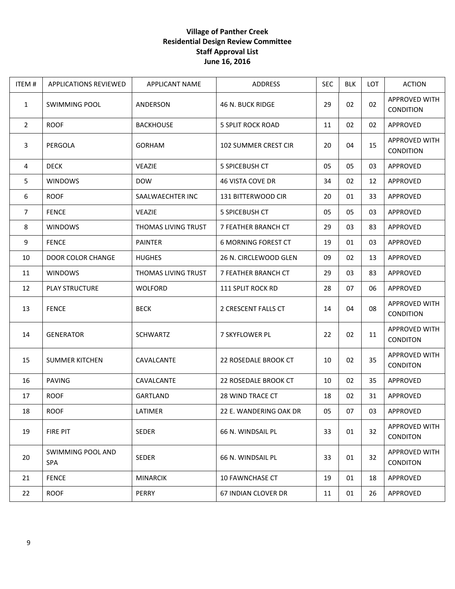## **Village of Panther Creek Residential Design Review Committee Staff Approval List June 16, 2016**

| ITEM#          | <b>APPLICATIONS REVIEWED</b> | <b>APPLICANT NAME</b> | <b>ADDRESS</b>              | <b>SEC</b> | <b>BLK</b> | LOT | <b>ACTION</b>                           |
|----------------|------------------------------|-----------------------|-----------------------------|------------|------------|-----|-----------------------------------------|
| 1              | <b>SWIMMING POOL</b>         | ANDERSON              | 46 N. BUCK RIDGE            | 29         | 02         | 02  | APPROVED WITH<br>CONDITION              |
| $\overline{2}$ | <b>ROOF</b>                  | <b>BACKHOUSE</b>      | <b>5 SPLIT ROCK ROAD</b>    | 11         | 02         | 02  | APPROVED                                |
| 3              | PERGOLA                      | <b>GORHAM</b>         | <b>102 SUMMER CREST CIR</b> | 20         | 04         | 15  | APPROVED WITH<br>CONDITION              |
| 4              | <b>DECK</b>                  | <b>VEAZIE</b>         | 5 SPICEBUSH CT              | 05         | 05         | 03  | APPROVED                                |
| 5              | <b>WINDOWS</b>               | <b>DOW</b>            | 46 VISTA COVE DR            | 34         | 02         | 12  | APPROVED                                |
| 6              | <b>ROOF</b>                  | SAALWAECHTER INC      | 131 BITTERWOOD CIR          | 20         | 01         | 33  | APPROVED                                |
| $\overline{7}$ | <b>FENCE</b>                 | <b>VEAZIE</b>         | 5 SPICEBUSH CT              | 05         | 05         | 03  | <b>APPROVED</b>                         |
| 8              | <b>WINDOWS</b>               | THOMAS LIVING TRUST   | 7 FEATHER BRANCH CT         | 29         | 03         | 83  | APPROVED                                |
| 9              | <b>FENCE</b>                 | <b>PAINTER</b>        | <b>6 MORNING FOREST CT</b>  | 19         | 01         | 03  | <b>APPROVED</b>                         |
| 10             | <b>DOOR COLOR CHANGE</b>     | <b>HUGHES</b>         | 26 N. CIRCLEWOOD GLEN       | 09         | 02         | 13  | APPROVED                                |
| 11             | <b>WINDOWS</b>               | THOMAS LIVING TRUST   | 7 FEATHER BRANCH CT         | 29         | 03         | 83  | APPROVED                                |
| 12             | <b>PLAY STRUCTURE</b>        | WOLFORD               | 111 SPLIT ROCK RD           | 28         | 07         | 06  | APPROVED                                |
| 13             | <b>FENCE</b>                 | <b>BECK</b>           | 2 CRESCENT FALLS CT         | 14         | 04         | 08  | APPROVED WITH<br>CONDITION              |
| 14             | <b>GENERATOR</b>             | <b>SCHWARTZ</b>       | 7 SKYFLOWER PL              | 22         | 02         | 11  | <b>APPROVED WITH</b><br><b>CONDITON</b> |
| 15             | <b>SUMMER KITCHEN</b>        | CAVALCANTE            | 22 ROSEDALE BROOK CT        | 10         | 02         | 35  | <b>APPROVED WITH</b><br><b>CONDITON</b> |
| 16             | <b>PAVING</b>                | CAVALCANTE            | <b>22 ROSEDALE BROOK CT</b> | 10         | 02         | 35  | <b>APPROVED</b>                         |
| 17             | <b>ROOF</b>                  | GARTLAND              | 28 WIND TRACE CT            | 18         | 02         | 31  | APPROVED                                |
| 18             | <b>ROOF</b>                  | LATIMER               | 22 E. WANDERING OAK DR      | 05         | 07         | 03  | APPROVED                                |
| 19             | <b>FIRE PIT</b>              | <b>SEDER</b>          | 66 N. WINDSAIL PL           | 33         | 01         | 32  | APPROVED WITH<br><b>CONDITON</b>        |
| 20             | SWIMMING POOL AND<br>SPA     | <b>SEDER</b>          | 66 N. WINDSAIL PL           | 33         | 01         | 32  | <b>APPROVED WITH</b><br>CONDITON        |
| 21             | <b>FENCE</b>                 | <b>MINARCIK</b>       | 10 FAWNCHASE CT             | 19         | 01         | 18  | APPROVED                                |
| 22             | <b>ROOF</b>                  | PERRY                 | 67 INDIAN CLOVER DR         | 11         | 01         | 26  | APPROVED                                |
|                |                              |                       |                             |            |            |     |                                         |